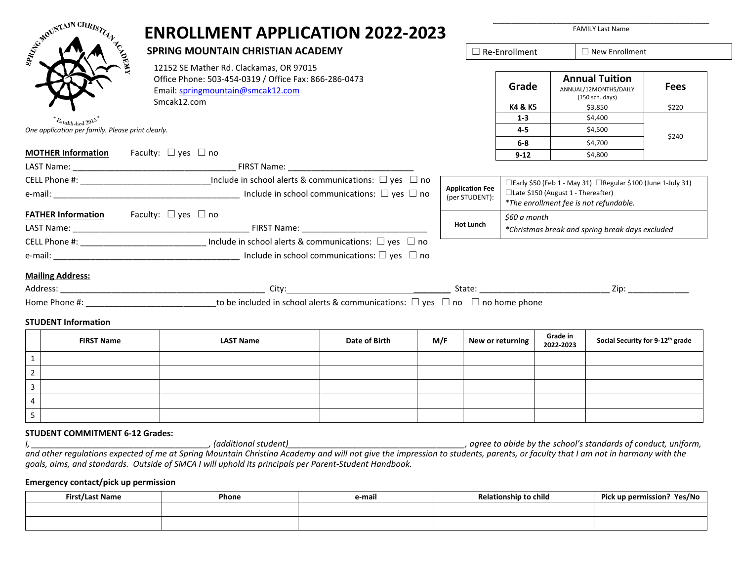| A CHAIN CHRISTIAN                                       | <b>ENROLLMENT APPLICATION 2022-2023</b>                                                                                                                                                                                                               |               |     |                                          |                                                                                                                                                            |           | <b>FAMILY Last Name</b>                                           |             |
|---------------------------------------------------------|-------------------------------------------------------------------------------------------------------------------------------------------------------------------------------------------------------------------------------------------------------|---------------|-----|------------------------------------------|------------------------------------------------------------------------------------------------------------------------------------------------------------|-----------|-------------------------------------------------------------------|-------------|
| <b>AUSTRALIA</b>                                        | <b>SPRING MOUNTAIN CHRISTIAN ACADEMY</b><br>12152 SE Mather Rd. Clackamas, OR 97015<br>Office Phone: 503-454-0319 / Office Fax: 866-286-0473<br>Email: springmountain@smcak12.com<br>Smcak12.com                                                      |               |     | $\Box$ Re-Enrollment                     |                                                                                                                                                            |           | $\Box$ New Enrollment                                             |             |
|                                                         |                                                                                                                                                                                                                                                       |               |     |                                          | Grade                                                                                                                                                      |           | <b>Annual Tuition</b><br>ANNUAL/12MONTHS/DAILY<br>(150 sch. days) | <b>Fees</b> |
|                                                         |                                                                                                                                                                                                                                                       |               |     |                                          | K4 & K5                                                                                                                                                    |           | \$3,850                                                           | \$220       |
| $E_{stablished}$ 2015                                   |                                                                                                                                                                                                                                                       |               |     |                                          | $1 - 3$                                                                                                                                                    |           | \$4,400                                                           |             |
| One application per family. Please print clearly.       |                                                                                                                                                                                                                                                       |               |     |                                          | $4 - 5$                                                                                                                                                    |           | \$4,500                                                           | \$240       |
|                                                         |                                                                                                                                                                                                                                                       |               |     |                                          | 6-8                                                                                                                                                        |           | \$4,700                                                           |             |
| <b>MOTHER Information</b>                               | Faculty: $\Box$ yes $\Box$ no                                                                                                                                                                                                                         |               |     |                                          | $9 - 12$                                                                                                                                                   |           | \$4,800                                                           |             |
|                                                         |                                                                                                                                                                                                                                                       |               |     |                                          |                                                                                                                                                            |           |                                                                   |             |
|                                                         | CELL Phone #: _________________________________Include in school alerts & communications: $\Box$ yes $\Box$ no<br>e-mail: $\Box$ yes $\Box$ no                                                                                                        |               |     | <b>Application Fee</b><br>(per STUDENT): | $\Box$ Early \$50 (Feb 1 - May 31) $\Box$ Regular \$100 (June 1-July 31)<br>□ Late \$150 (August 1 - Thereafter)<br>*The enrollment fee is not refundable. |           |                                                                   |             |
| <b>FATHER Information</b> Faculty: $\Box$ yes $\Box$ no |                                                                                                                                                                                                                                                       |               |     |                                          | \$60 a month                                                                                                                                               |           |                                                                   |             |
|                                                         |                                                                                                                                                                                                                                                       |               |     | <b>Hot Lunch</b>                         | *Christmas break and spring break days excluded                                                                                                            |           |                                                                   |             |
|                                                         | CELL Phone #: _________________________________ Include in school alerts & communications: $\Box$ yes $\Box$ no                                                                                                                                       |               |     |                                          |                                                                                                                                                            |           |                                                                   |             |
|                                                         |                                                                                                                                                                                                                                                       |               |     |                                          |                                                                                                                                                            |           |                                                                   |             |
| <b>Mailing Address:</b>                                 |                                                                                                                                                                                                                                                       |               |     |                                          |                                                                                                                                                            |           |                                                                   |             |
|                                                         |                                                                                                                                                                                                                                                       |               |     |                                          |                                                                                                                                                            |           |                                                                   |             |
|                                                         | Home Phone #: $\Box$ no home phone $\Box$ no home phone $\Box$ no $\Box$ no home phone $\Box$ no home phone $\Box$ no home phone $\Box$ no home phone $\Box$ no home phone $\Box$ no home phone $\Box$ no home phone $\Box$ no home phone $\Box$ no h |               |     |                                          |                                                                                                                                                            |           |                                                                   |             |
| <b>STUDENT Information</b>                              |                                                                                                                                                                                                                                                       |               |     |                                          |                                                                                                                                                            |           |                                                                   |             |
| <b>FIRST Name</b>                                       | <b>LAST Name</b>                                                                                                                                                                                                                                      | Date of Birth | M/F | New or returning                         |                                                                                                                                                            | Grade in  | Social Security for 9-12 <sup>th</sup> grade                      |             |
| $\mathbf{1}$                                            |                                                                                                                                                                                                                                                       |               |     |                                          |                                                                                                                                                            | 2022-2023 |                                                                   |             |

## **STUDENT COMMITMENT 6-12 Grades:**  *I, \_\_\_\_\_\_\_\_\_\_\_\_\_\_\_\_\_\_\_\_\_\_\_\_\_\_\_\_\_\_\_\_\_\_\_\_\_\_, (additional student)\_\_\_\_\_\_\_\_\_\_\_\_\_\_\_\_\_\_\_\_\_\_\_\_\_\_\_\_\_\_\_\_\_\_\_\_\_\_, agree to abide by the school's standards of conduct, uniform,*  and other regulations expected of me at Spring Mountain Christina Academy and will not give the impression to students, parents, or faculty that I am not in harmony with the *goals, aims, and standards. Outside of SMCA I will uphold its principals per Parent-Student Handbook.*

## **Emergency contact/pick up permission**

| <b>First/Last Name</b> | Phone | e-mail | <b>Relationship to child</b> | Pick up permission?<br>Yes/No |
|------------------------|-------|--------|------------------------------|-------------------------------|
|                        |       |        |                              |                               |
|                        |       |        |                              |                               |